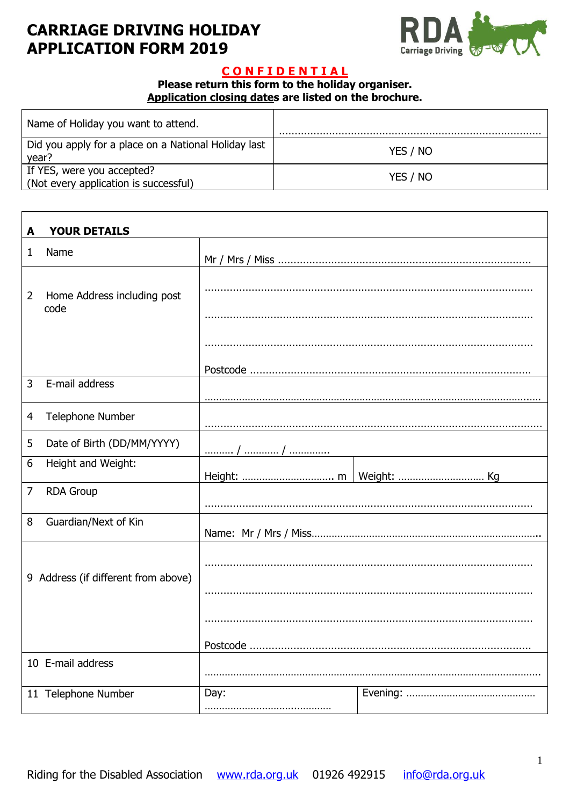# **CARRIAGE DRIVING HOLIDAY APPLICATION FORM 2019**



## **C O N F I D E N T I A L**

#### **Please return this form to the holiday organiser. Application closing dates are listed on the brochure.**

| Name of Holiday you want to attend.                                 |          |
|---------------------------------------------------------------------|----------|
| Did you apply for a place on a National Holiday last<br>year?       | YES / NO |
| If YES, were you accepted?<br>(Not every application is successful) | YES / NO |

| A              | <b>YOUR DETAILS</b>                 |      |  |
|----------------|-------------------------------------|------|--|
| 1              | Name                                |      |  |
| $\overline{2}$ | Home Address including post<br>code |      |  |
|                |                                     |      |  |
|                |                                     |      |  |
| 3              | E-mail address                      |      |  |
| 4              | Telephone Number                    |      |  |
| 5              | Date of Birth (DD/MM/YYYY)          |      |  |
| 6              | Height and Weight:                  |      |  |
| 7              | <b>RDA Group</b>                    |      |  |
| 8              | Guardian/Next of Kin                |      |  |
|                | 9 Address (if different from above) |      |  |
|                |                                     |      |  |
|                |                                     |      |  |
|                |                                     |      |  |
|                | 10 E-mail address                   |      |  |
|                | 11 Telephone Number                 | Day: |  |
|                |                                     |      |  |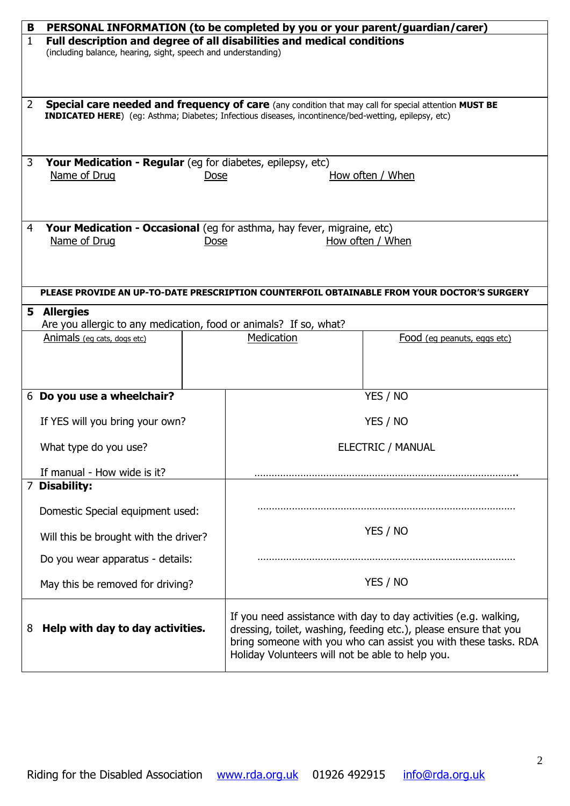| В              | PERSONAL INFORMATION (to be completed by you or your parent/guardian/carer)                                                             |                                                                                                                                                                                                                                                             |  |  |  |
|----------------|-----------------------------------------------------------------------------------------------------------------------------------------|-------------------------------------------------------------------------------------------------------------------------------------------------------------------------------------------------------------------------------------------------------------|--|--|--|
| $\mathbf{1}$   | Full description and degree of all disabilities and medical conditions<br>(including balance, hearing, sight, speech and understanding) |                                                                                                                                                                                                                                                             |  |  |  |
| $\overline{2}$ |                                                                                                                                         | <b>Special care needed and frequency of care</b> (any condition that may call for special attention MUST BE<br>INDICATED HERE) (eg: Asthma; Diabetes; Infectious diseases, incontinence/bed-wetting, epilepsy, etc)                                         |  |  |  |
| 3              | Your Medication - Regular (eg for diabetes, epilepsy, etc)<br>Name of Drug<br>How often / When<br>Dose                                  |                                                                                                                                                                                                                                                             |  |  |  |
| $\overline{4}$ | Your Medication - Occasional (eg for asthma, hay fever, migraine, etc)<br>Name of Drug<br>How often / When<br>Dose                      |                                                                                                                                                                                                                                                             |  |  |  |
|                |                                                                                                                                         | PLEASE PROVIDE AN UP-TO-DATE PRESCRIPTION COUNTERFOIL OBTAINABLE FROM YOUR DOCTOR'S SURGERY                                                                                                                                                                 |  |  |  |
|                | 5 Allergies                                                                                                                             |                                                                                                                                                                                                                                                             |  |  |  |
|                | Are you allergic to any medication, food or animals? If so, what?<br>Animals (eq cats, dogs etc)                                        | Medication<br>Food (eq peanuts, eggs etc)                                                                                                                                                                                                                   |  |  |  |
|                |                                                                                                                                         |                                                                                                                                                                                                                                                             |  |  |  |
|                | 6 Do you use a wheelchair?                                                                                                              | YES / NO                                                                                                                                                                                                                                                    |  |  |  |
|                | If YES will you bring your own?                                                                                                         | YES / NO                                                                                                                                                                                                                                                    |  |  |  |
|                | What type do you use?                                                                                                                   | <b>ELECTRIC / MANUAL</b>                                                                                                                                                                                                                                    |  |  |  |
|                | If manual - How wide is it?                                                                                                             |                                                                                                                                                                                                                                                             |  |  |  |
|                | 7 Disability:                                                                                                                           |                                                                                                                                                                                                                                                             |  |  |  |
|                | Domestic Special equipment used:                                                                                                        |                                                                                                                                                                                                                                                             |  |  |  |
|                | Will this be brought with the driver?                                                                                                   | YES / NO                                                                                                                                                                                                                                                    |  |  |  |
|                | Do you wear apparatus - details:                                                                                                        |                                                                                                                                                                                                                                                             |  |  |  |
|                | May this be removed for driving?                                                                                                        | YES / NO                                                                                                                                                                                                                                                    |  |  |  |
| 8              | Help with day to day activities.                                                                                                        | If you need assistance with day to day activities (e.g. walking,<br>dressing, toilet, washing, feeding etc.), please ensure that you<br>bring someone with you who can assist you with these tasks. RDA<br>Holiday Volunteers will not be able to help you. |  |  |  |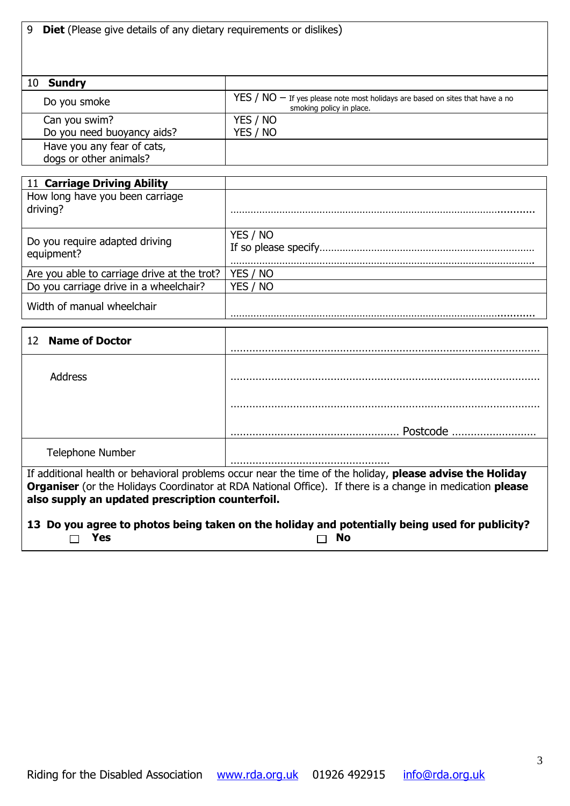|  |  |  |  |  |  | 9 Diet (Please give details of any dietary requirements or dislikes) |  |
|--|--|--|--|--|--|----------------------------------------------------------------------|--|
|--|--|--|--|--|--|----------------------------------------------------------------------|--|

| 10 Sundry                  |                                                                                                          |
|----------------------------|----------------------------------------------------------------------------------------------------------|
| Do you smoke               | $YES / NO - If yes please note most holds are based on sites that have a no$<br>smoking policy in place. |
| Can you swim?              | YES / NO                                                                                                 |
| Do you need buoyancy aids? | YES / NO                                                                                                 |
| Have you any fear of cats, |                                                                                                          |
| dogs or other animals?     |                                                                                                          |

| 11 Carriage Driving Ability                  |          |
|----------------------------------------------|----------|
| How long have you been carriage<br>driving?  |          |
| Do you require adapted driving<br>equipment? | YES / NO |
| Are you able to carriage drive at the trot?  | YES / NO |
| Do you carriage drive in a wheelchair?       | YES / NO |
| Width of manual wheelchair                   |          |

| 12 Name of Doctor |          |
|-------------------|----------|
| Address           |          |
|                   |          |
|                   | Postcode |
| Telephone Number  |          |

If additional health or behavioral problems occur near the time of the holiday, **please advise the Holiday Organiser** (or the Holidays Coordinator at RDA National Office). If there is a change in medication **please also supply an updated prescription counterfoil.**

### **13 Do you agree to photos being taken on the holiday and potentially being used for publicity?**<br>
I No  $\overline{\phantom{a}}$  **Yes**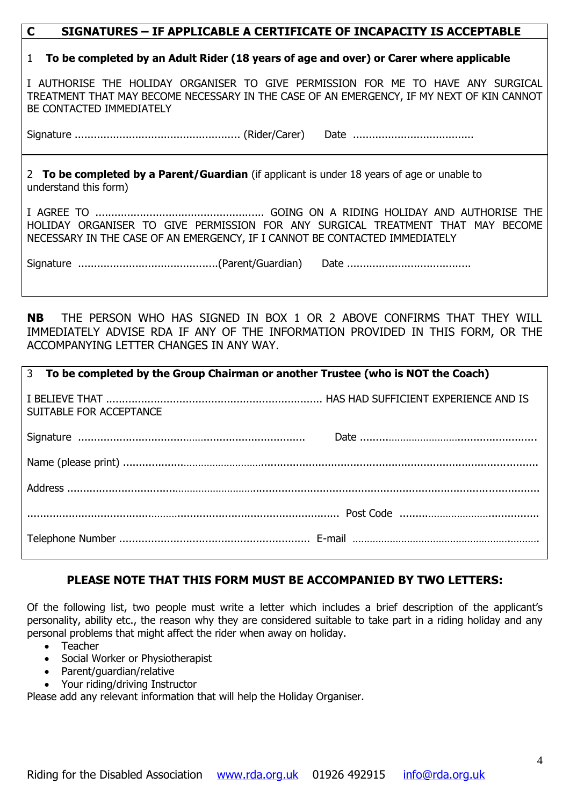### **C SIGNATURES – IF APPLICABLE A CERTIFICATE OF INCAPACITY IS ACCEPTABLE**

#### 1 **To be completed by an Adult Rider (18 years of age and over) or Carer where applicable**

I AUTHORISE THE HOLIDAY ORGANISER TO GIVE PERMISSION FOR ME TO HAVE ANY SURGICAL TREATMENT THAT MAY BECOME NECESSARY IN THE CASE OF AN EMERGENCY, IF MY NEXT OF KIN CANNOT BE CONTACTED IMMEDIATELY

Signature .................................................... (Rider/Carer) Date ......................................

2 **To be completed by a Parent/Guardian** (if applicant is under 18 years of age or unable to understand this form)

I AGREE TO ..................................................... GOING ON A RIDING HOLIDAY AND AUTHORISE THE HOLIDAY ORGANISER TO GIVE PERMISSION FOR ANY SURGICAL TREATMENT THAT MAY BECOME NECESSARY IN THE CASE OF AN EMERGENCY, IF I CANNOT BE CONTACTED IMMEDIATELY

**NB** THE PERSON WHO HAS SIGNED IN BOX 1 OR 2 ABOVE CONFIRMS THAT THEY WILL IMMEDIATELY ADVISE RDA IF ANY OF THE INFORMATION PROVIDED IN THIS FORM, OR THE ACCOMPANYING LETTER CHANGES IN ANY WAY.

| 3 To be completed by the Group Chairman or another Trustee (who is NOT the Coach) |  |  |  |
|-----------------------------------------------------------------------------------|--|--|--|
| SUITABLE FOR ACCEPTANCE                                                           |  |  |  |
|                                                                                   |  |  |  |
|                                                                                   |  |  |  |
|                                                                                   |  |  |  |
|                                                                                   |  |  |  |
|                                                                                   |  |  |  |

## **PLEASE NOTE THAT THIS FORM MUST BE ACCOMPANIED BY TWO LETTERS:**

Of the following list, two people must write a letter which includes a brief description of the applicant's personality, ability etc., the reason why they are considered suitable to take part in a riding holiday and any personal problems that might affect the rider when away on holiday.

- Teacher
- Social Worker or Physiotherapist
- Parent/guardian/relative
- Your riding/driving Instructor

Please add any relevant information that will help the Holiday Organiser.